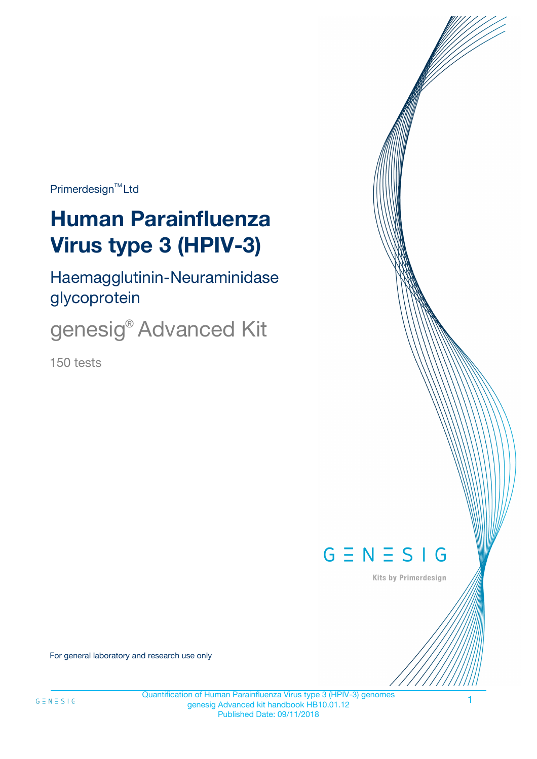$Primerdesign^{\text{TM}}Ltd$ 

# **Human Parainfluenza Virus type 3 (HPIV-3)**

Haemagglutinin-Neuraminidase glycoprotein

genesig® Advanced Kit

150 tests



Kits by Primerdesign

For general laboratory and research use only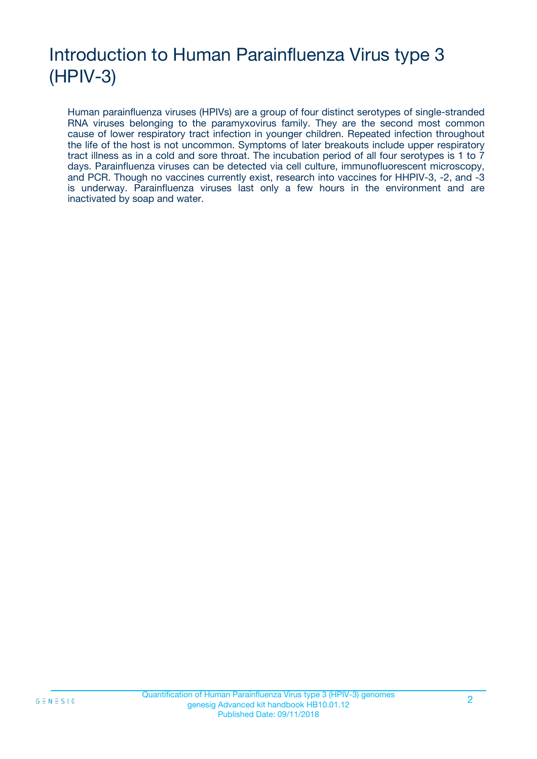# Introduction to Human Parainfluenza Virus type 3 (HPIV-3)

Human parainfluenza viruses (HPIVs) are a group of four distinct serotypes of single-stranded RNA viruses belonging to the paramyxovirus family. They are the second most common cause of lower respiratory tract infection in younger children. Repeated infection throughout the life of the host is not uncommon. Symptoms of later breakouts include upper respiratory tract illness as in a cold and sore throat. The incubation period of all four serotypes is 1 to 7 days. Parainfluenza viruses can be detected via cell culture, immunofluorescent microscopy, and PCR. Though no vaccines currently exist, research into vaccines for HHPIV-3, -2, and -3 is underway. Parainfluenza viruses last only a few hours in the environment and are inactivated by soap and water.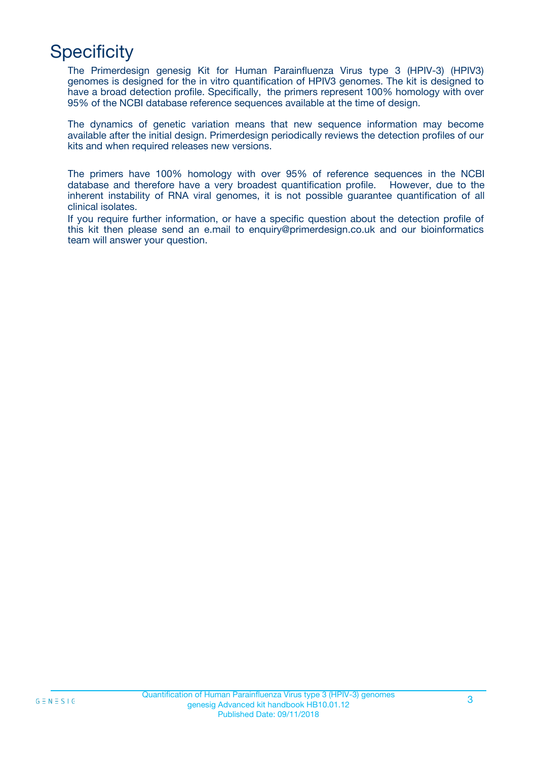# **Specificity**

The Primerdesign genesig Kit for Human Parainfluenza Virus type 3 (HPIV-3) (HPIV3) genomes is designed for the in vitro quantification of HPIV3 genomes. The kit is designed to have a broad detection profile. Specifically, the primers represent 100% homology with over 95% of the NCBI database reference sequences available at the time of design.

The dynamics of genetic variation means that new sequence information may become available after the initial design. Primerdesign periodically reviews the detection profiles of our kits and when required releases new versions.

The primers have 100% homology with over 95% of reference sequences in the NCBI database and therefore have a very broadest quantification profile. However, due to the inherent instability of RNA viral genomes, it is not possible guarantee quantification of all clinical isolates.

If you require further information, or have a specific question about the detection profile of this kit then please send an e.mail to enquiry@primerdesign.co.uk and our bioinformatics team will answer your question.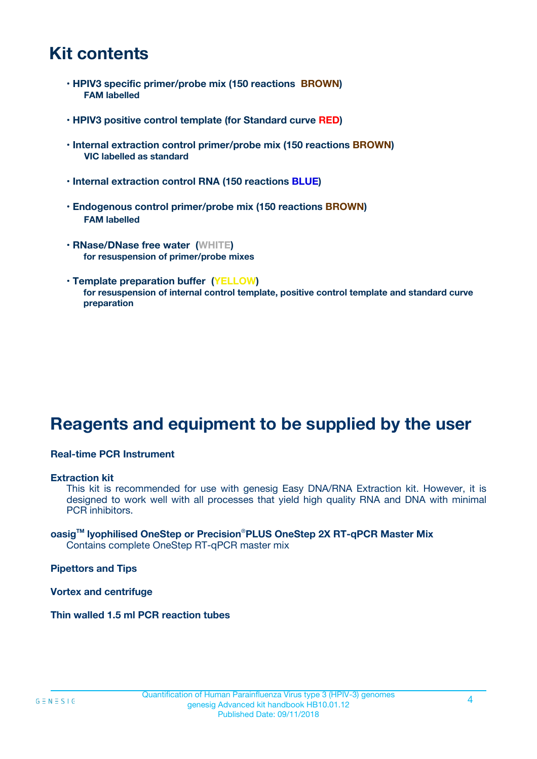# **Kit contents**

- **HPIV3 specific primer/probe mix (150 reactions BROWN) FAM labelled**
- **HPIV3 positive control template (for Standard curve RED)**
- **Internal extraction control primer/probe mix (150 reactions BROWN) VIC labelled as standard**
- **Internal extraction control RNA (150 reactions BLUE)**
- **Endogenous control primer/probe mix (150 reactions BROWN) FAM labelled**
- **RNase/DNase free water (WHITE) for resuspension of primer/probe mixes**
- **Template preparation buffer (YELLOW) for resuspension of internal control template, positive control template and standard curve preparation**

# **Reagents and equipment to be supplied by the user**

#### **Real-time PCR Instrument**

#### **Extraction kit**

This kit is recommended for use with genesig Easy DNA/RNA Extraction kit. However, it is designed to work well with all processes that yield high quality RNA and DNA with minimal PCR inhibitors.

#### **oasigTM lyophilised OneStep or Precision**®**PLUS OneStep 2X RT-qPCR Master Mix** Contains complete OneStep RT-qPCR master mix

**Pipettors and Tips**

**Vortex and centrifuge**

**Thin walled 1.5 ml PCR reaction tubes**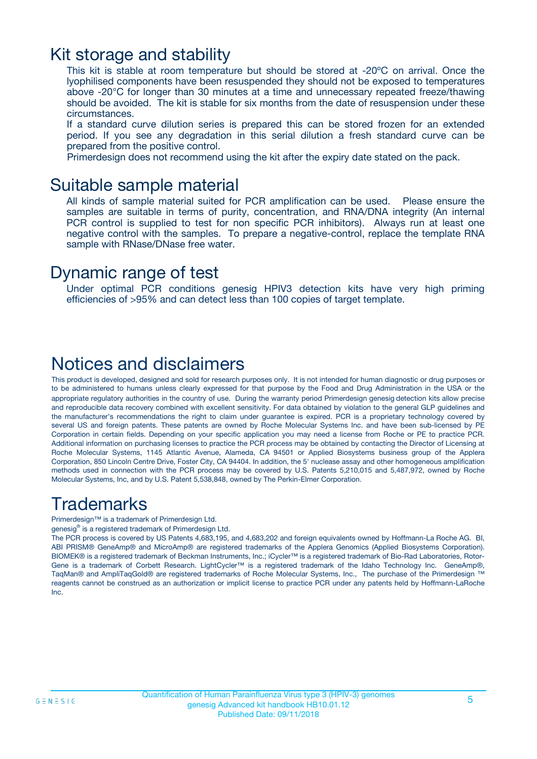### Kit storage and stability

This kit is stable at room temperature but should be stored at -20ºC on arrival. Once the lyophilised components have been resuspended they should not be exposed to temperatures above -20°C for longer than 30 minutes at a time and unnecessary repeated freeze/thawing should be avoided. The kit is stable for six months from the date of resuspension under these circumstances.

If a standard curve dilution series is prepared this can be stored frozen for an extended period. If you see any degradation in this serial dilution a fresh standard curve can be prepared from the positive control.

Primerdesign does not recommend using the kit after the expiry date stated on the pack.

### Suitable sample material

All kinds of sample material suited for PCR amplification can be used. Please ensure the samples are suitable in terms of purity, concentration, and RNA/DNA integrity (An internal PCR control is supplied to test for non specific PCR inhibitors). Always run at least one negative control with the samples. To prepare a negative-control, replace the template RNA sample with RNase/DNase free water.

### Dynamic range of test

Under optimal PCR conditions genesig HPIV3 detection kits have very high priming efficiencies of >95% and can detect less than 100 copies of target template.

### Notices and disclaimers

This product is developed, designed and sold for research purposes only. It is not intended for human diagnostic or drug purposes or to be administered to humans unless clearly expressed for that purpose by the Food and Drug Administration in the USA or the appropriate regulatory authorities in the country of use. During the warranty period Primerdesign genesig detection kits allow precise and reproducible data recovery combined with excellent sensitivity. For data obtained by violation to the general GLP guidelines and the manufacturer's recommendations the right to claim under guarantee is expired. PCR is a proprietary technology covered by several US and foreign patents. These patents are owned by Roche Molecular Systems Inc. and have been sub-licensed by PE Corporation in certain fields. Depending on your specific application you may need a license from Roche or PE to practice PCR. Additional information on purchasing licenses to practice the PCR process may be obtained by contacting the Director of Licensing at Roche Molecular Systems, 1145 Atlantic Avenue, Alameda, CA 94501 or Applied Biosystems business group of the Applera Corporation, 850 Lincoln Centre Drive, Foster City, CA 94404. In addition, the 5' nuclease assay and other homogeneous amplification methods used in connection with the PCR process may be covered by U.S. Patents 5,210,015 and 5,487,972, owned by Roche Molecular Systems, Inc, and by U.S. Patent 5,538,848, owned by The Perkin-Elmer Corporation.

# Trademarks

Primerdesign™ is a trademark of Primerdesign Ltd.

genesig® is a registered trademark of Primerdesign Ltd.

The PCR process is covered by US Patents 4,683,195, and 4,683,202 and foreign equivalents owned by Hoffmann-La Roche AG. BI, ABI PRISM® GeneAmp® and MicroAmp® are registered trademarks of the Applera Genomics (Applied Biosystems Corporation). BIOMEK® is a registered trademark of Beckman Instruments, Inc.; iCycler™ is a registered trademark of Bio-Rad Laboratories, Rotor-Gene is a trademark of Corbett Research. LightCycler™ is a registered trademark of the Idaho Technology Inc. GeneAmp®, TaqMan® and AmpliTaqGold® are registered trademarks of Roche Molecular Systems, Inc., The purchase of the Primerdesign ™ reagents cannot be construed as an authorization or implicit license to practice PCR under any patents held by Hoffmann-LaRoche Inc.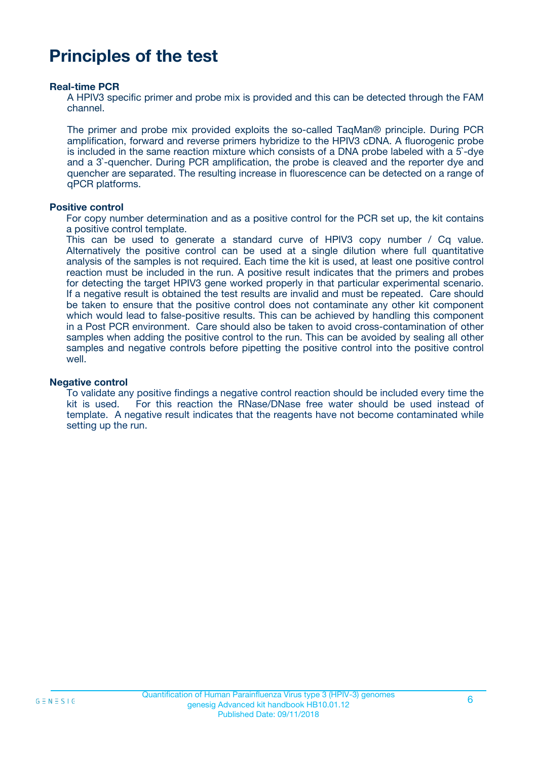# **Principles of the test**

#### **Real-time PCR**

A HPIV3 specific primer and probe mix is provided and this can be detected through the FAM channel.

The primer and probe mix provided exploits the so-called TaqMan® principle. During PCR amplification, forward and reverse primers hybridize to the HPIV3 cDNA. A fluorogenic probe is included in the same reaction mixture which consists of a DNA probe labeled with a 5`-dye and a 3`-quencher. During PCR amplification, the probe is cleaved and the reporter dye and quencher are separated. The resulting increase in fluorescence can be detected on a range of qPCR platforms.

#### **Positive control**

For copy number determination and as a positive control for the PCR set up, the kit contains a positive control template.

This can be used to generate a standard curve of HPIV3 copy number / Cq value. Alternatively the positive control can be used at a single dilution where full quantitative analysis of the samples is not required. Each time the kit is used, at least one positive control reaction must be included in the run. A positive result indicates that the primers and probes for detecting the target HPIV3 gene worked properly in that particular experimental scenario. If a negative result is obtained the test results are invalid and must be repeated. Care should be taken to ensure that the positive control does not contaminate any other kit component which would lead to false-positive results. This can be achieved by handling this component in a Post PCR environment. Care should also be taken to avoid cross-contamination of other samples when adding the positive control to the run. This can be avoided by sealing all other samples and negative controls before pipetting the positive control into the positive control well.

#### **Negative control**

To validate any positive findings a negative control reaction should be included every time the kit is used. For this reaction the RNase/DNase free water should be used instead of template. A negative result indicates that the reagents have not become contaminated while setting up the run.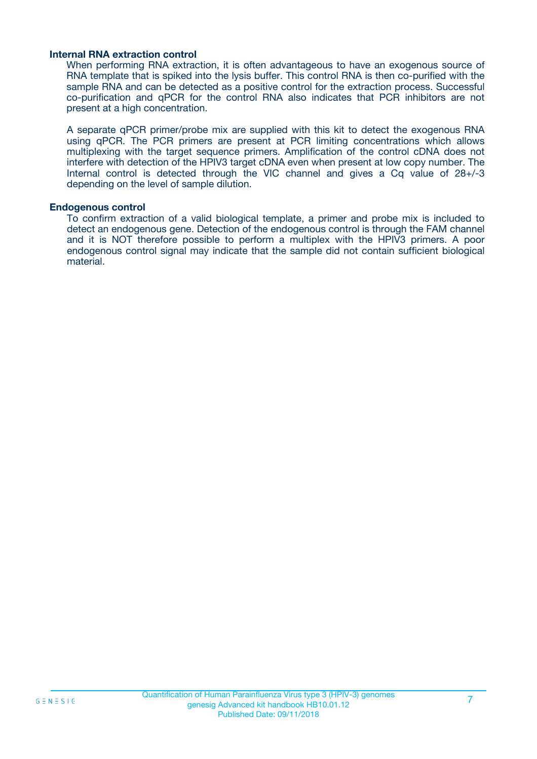#### **Internal RNA extraction control**

When performing RNA extraction, it is often advantageous to have an exogenous source of RNA template that is spiked into the lysis buffer. This control RNA is then co-purified with the sample RNA and can be detected as a positive control for the extraction process. Successful co-purification and qPCR for the control RNA also indicates that PCR inhibitors are not present at a high concentration.

A separate qPCR primer/probe mix are supplied with this kit to detect the exogenous RNA using qPCR. The PCR primers are present at PCR limiting concentrations which allows multiplexing with the target sequence primers. Amplification of the control cDNA does not interfere with detection of the HPIV3 target cDNA even when present at low copy number. The Internal control is detected through the VIC channel and gives a Cq value of 28+/-3 depending on the level of sample dilution.

#### **Endogenous control**

To confirm extraction of a valid biological template, a primer and probe mix is included to detect an endogenous gene. Detection of the endogenous control is through the FAM channel and it is NOT therefore possible to perform a multiplex with the HPIV3 primers. A poor endogenous control signal may indicate that the sample did not contain sufficient biological material.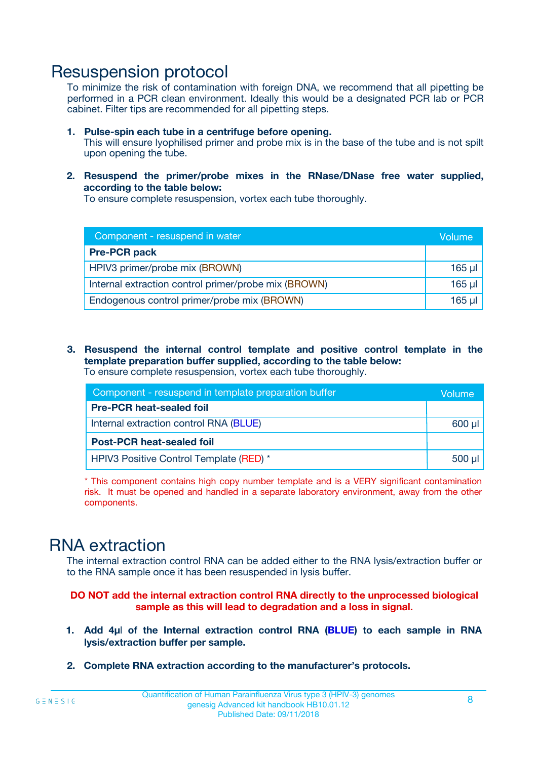### Resuspension protocol

To minimize the risk of contamination with foreign DNA, we recommend that all pipetting be performed in a PCR clean environment. Ideally this would be a designated PCR lab or PCR cabinet. Filter tips are recommended for all pipetting steps.

- **1. Pulse-spin each tube in a centrifuge before opening.** This will ensure lyophilised primer and probe mix is in the base of the tube and is not spilt upon opening the tube.
- **2. Resuspend the primer/probe mixes in the RNase/DNase free water supplied, according to the table below:**

To ensure complete resuspension, vortex each tube thoroughly.

| Component - resuspend in water                       |          |  |
|------------------------------------------------------|----------|--|
| <b>Pre-PCR pack</b>                                  |          |  |
| HPIV3 primer/probe mix (BROWN)                       | $165$ µl |  |
| Internal extraction control primer/probe mix (BROWN) | $165$ µl |  |
| Endogenous control primer/probe mix (BROWN)          | 165 µl   |  |

**3. Resuspend the internal control template and positive control template in the template preparation buffer supplied, according to the table below:** To ensure complete resuspension, vortex each tube thoroughly.

| Component - resuspend in template preparation buffer |             |  |  |
|------------------------------------------------------|-------------|--|--|
| <b>Pre-PCR heat-sealed foil</b>                      |             |  |  |
| Internal extraction control RNA (BLUE)               |             |  |  |
| <b>Post-PCR heat-sealed foil</b>                     |             |  |  |
| HPIV3 Positive Control Template (RED) *              | $500$ $\mu$ |  |  |

\* This component contains high copy number template and is a VERY significant contamination risk. It must be opened and handled in a separate laboratory environment, away from the other components.

# RNA extraction

The internal extraction control RNA can be added either to the RNA lysis/extraction buffer or to the RNA sample once it has been resuspended in lysis buffer.

**DO NOT add the internal extraction control RNA directly to the unprocessed biological sample as this will lead to degradation and a loss in signal.**

- **1. Add 4µ**l **of the Internal extraction control RNA (BLUE) to each sample in RNA lysis/extraction buffer per sample.**
- **2. Complete RNA extraction according to the manufacturer's protocols.**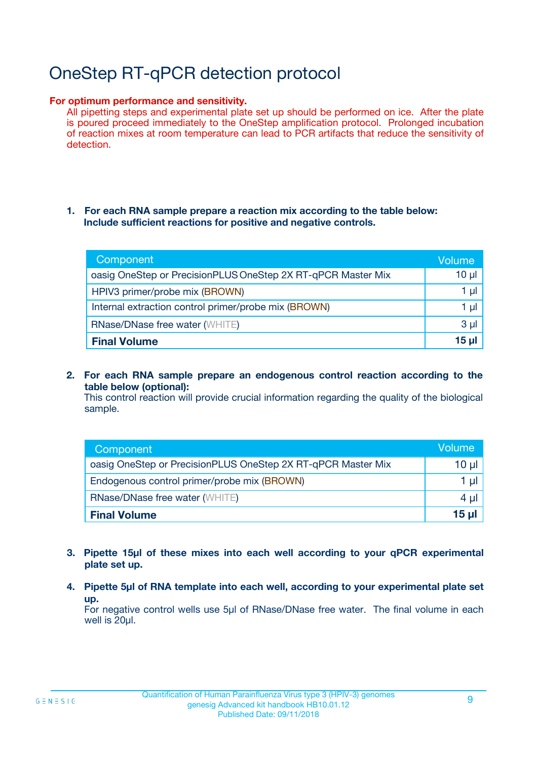# OneStep RT-qPCR detection protocol

#### **For optimum performance and sensitivity.**

All pipetting steps and experimental plate set up should be performed on ice. After the plate is poured proceed immediately to the OneStep amplification protocol. Prolonged incubation of reaction mixes at room temperature can lead to PCR artifacts that reduce the sensitivity of detection.

#### **1. For each RNA sample prepare a reaction mix according to the table below: Include sufficient reactions for positive and negative controls.**

| Component                                                    | <b>Volume</b> |
|--------------------------------------------------------------|---------------|
| oasig OneStep or PrecisionPLUS OneStep 2X RT-qPCR Master Mix | $10 \mu$      |
| HPIV3 primer/probe mix (BROWN)                               | 1 µI          |
| Internal extraction control primer/probe mix (BROWN)         | 1 µI          |
| <b>RNase/DNase free water (WHITE)</b>                        | $3 \mu$       |
| <b>Final Volume</b>                                          | 15 µl         |

**2. For each RNA sample prepare an endogenous control reaction according to the table below (optional):**

This control reaction will provide crucial information regarding the quality of the biological sample.

| Component                                                    | Volume   |
|--------------------------------------------------------------|----------|
| oasig OneStep or PrecisionPLUS OneStep 2X RT-qPCR Master Mix | 10 $\mu$ |
| Endogenous control primer/probe mix (BROWN)                  | 1 ul     |
| <b>RNase/DNase free water (WHITE)</b>                        | $4 \mu$  |
| <b>Final Volume</b>                                          | 15 µl    |

- **3. Pipette 15µl of these mixes into each well according to your qPCR experimental plate set up.**
- **4. Pipette 5µl of RNA template into each well, according to your experimental plate set up.**

For negative control wells use 5µl of RNase/DNase free water. The final volume in each well is 20µl.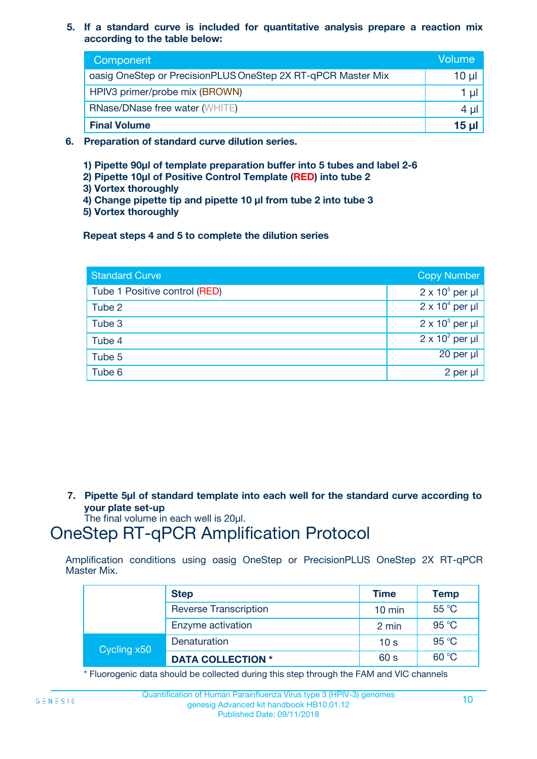**5. If a standard curve is included for quantitative analysis prepare a reaction mix according to the table below:**

| Component                                                    | Volume       |
|--------------------------------------------------------------|--------------|
| oasig OneStep or PrecisionPLUS OneStep 2X RT-qPCR Master Mix | 10 µl        |
| HPIV3 primer/probe mix (BROWN)                               |              |
| <b>RNase/DNase free water (WHITE)</b>                        | 4 µl         |
| <b>Final Volume</b>                                          | <u>15 µl</u> |

- **6. Preparation of standard curve dilution series.**
	- **1) Pipette 90µl of template preparation buffer into 5 tubes and label 2-6**
	- **2) Pipette 10µl of Positive Control Template (RED) into tube 2**
	- **3) Vortex thoroughly**
	- **4) Change pipette tip and pipette 10 µl from tube 2 into tube 3**
	- **5) Vortex thoroughly**

**Repeat steps 4 and 5 to complete the dilution series**

| <b>Standard Curve</b>         | <b>Copy Number</b>     |
|-------------------------------|------------------------|
| Tube 1 Positive control (RED) | $2 \times 10^5$ per µl |
| Tube 2                        | $2 \times 10^4$ per µl |
| Tube 3                        | $2 \times 10^3$ per µl |
| Tube 4                        | $2 \times 10^2$ per µl |
| Tube 5                        | 20 per µl              |
| Tube 6                        | 2 per µl               |

**7. Pipette 5µl of standard template into each well for the standard curve according to your plate set-up**

The final volume in each well is 20µl.

# OneStep RT-qPCR Amplification Protocol

Amplification conditions using oasig OneStep or PrecisionPLUS OneStep 2X RT-qPCR Master Mix.

|             | <b>Step</b>                  | <b>Time</b>      | <b>Temp</b> |
|-------------|------------------------------|------------------|-------------|
|             | <b>Reverse Transcription</b> | $10 \text{ min}$ | 55 °C       |
|             | Enzyme activation            | 2 min            | 95 °C       |
| Cycling x50 | Denaturation                 | 10 <sub>s</sub>  | 95 °C       |
|             | <b>DATA COLLECTION *</b>     | 60 s             | 60 °C       |

\* Fluorogenic data should be collected during this step through the FAM and VIC channels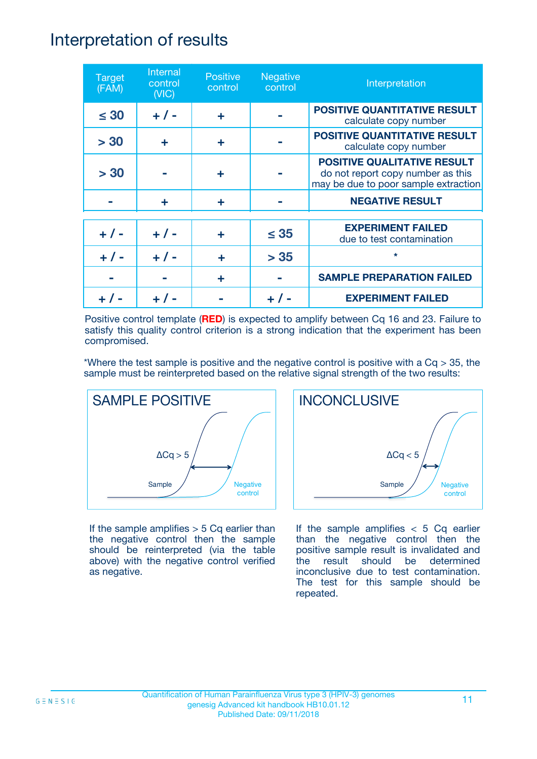### Interpretation of results

| <b>Target</b><br>(FAM) | Internal<br>control<br>(NIC) | <b>Positive</b><br>control | <b>Negative</b><br>control | Interpretation                                                                                                  |
|------------------------|------------------------------|----------------------------|----------------------------|-----------------------------------------------------------------------------------------------------------------|
| $\leq 30$              | $+ 1 -$                      | ÷                          |                            | <b>POSITIVE QUANTITATIVE RESULT</b><br>calculate copy number                                                    |
| > 30                   | ÷                            | ÷                          |                            | POSITIVE QUANTITATIVE RESULT<br>calculate copy number                                                           |
| > 30                   |                              | ÷                          |                            | <b>POSITIVE QUALITATIVE RESULT</b><br>do not report copy number as this<br>may be due to poor sample extraction |
|                        | ÷                            | ÷                          |                            | <b>NEGATIVE RESULT</b>                                                                                          |
| $+ 1 -$                | $+ 1 -$                      | ÷                          | $\leq$ 35                  | <b>EXPERIMENT FAILED</b><br>due to test contamination                                                           |
| $+$ /                  | $+ 1 -$                      | ÷                          | > 35                       | $\star$                                                                                                         |
|                        |                              | ÷                          |                            | <b>SAMPLE PREPARATION FAILED</b>                                                                                |
|                        |                              |                            |                            | <b>EXPERIMENT FAILED</b>                                                                                        |

Positive control template (**RED**) is expected to amplify between Cq 16 and 23. Failure to satisfy this quality control criterion is a strong indication that the experiment has been compromised.

\*Where the test sample is positive and the negative control is positive with a  $Cq > 35$ , the sample must be reinterpreted based on the relative signal strength of the two results:



If the sample amplifies  $> 5$  Cq earlier than the negative control then the sample should be reinterpreted (via the table above) with the negative control verified as negative.



If the sample amplifies  $< 5$  Cq earlier than the negative control then the positive sample result is invalidated and the result should be determined inconclusive due to test contamination. The test for this sample should be repeated.